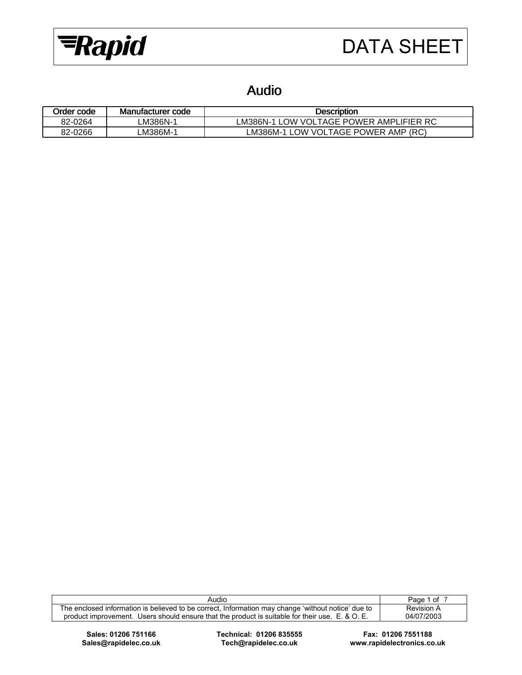

## Audio

| Order code | Manufacturer code | <b>Description</b>                                                        |
|------------|-------------------|---------------------------------------------------------------------------|
| 82-0264    | -M386N-′          | RC<br><b>POWER</b><br>AMPL<br>' VOLTAGE<br>LM386N-′<br><b>IFIFR</b><br>าw |
| 82-0266    | -M386M-′          | (RC)<br>' VOI TAGF POWER<br>AMP<br><b>OW</b><br>∟M386M-1                  |

| Audio                                                                                              | Page 1 of  |
|----------------------------------------------------------------------------------------------------|------------|
| The enclosed information is believed to be correct, Information may change 'without notice' due to | Revision A |
| product improvement. Users should ensure that the product is suitable for their use. E. & O. E.    | 04/07/2003 |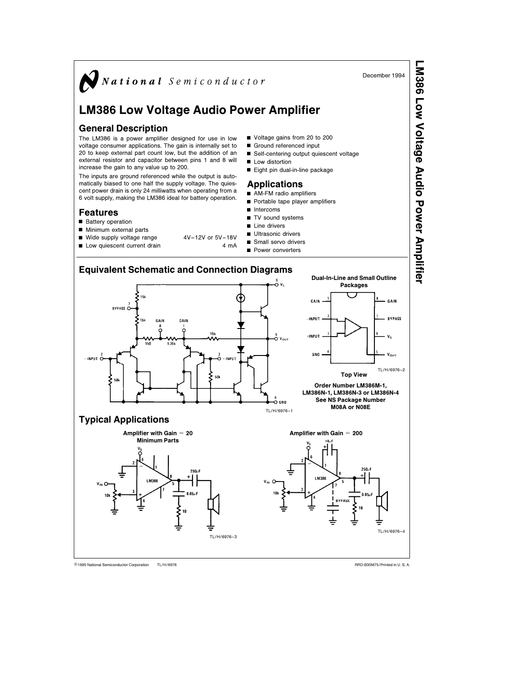

TL/H/6976 C1995 National Semiconductor Corporation TL/H/6976 National Semiconductor Corporation RRD-B30M75/Printed in U. S. A.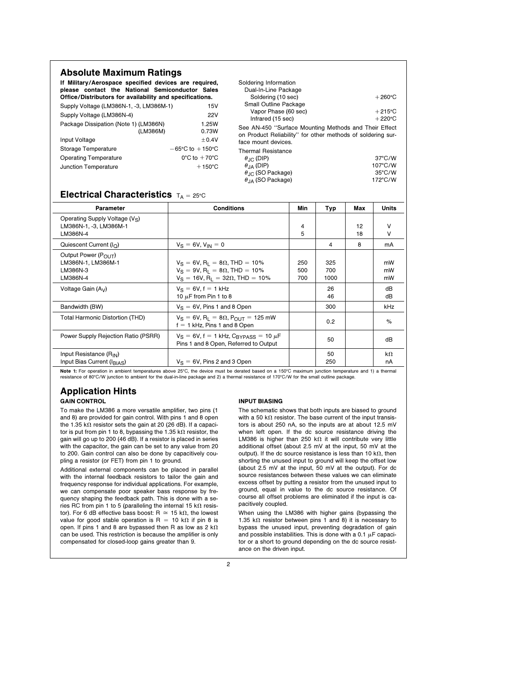| <b>Absolute Maximum Ratings</b><br>If Military/Aerospace specified devices are required,<br>please contact the National Semiconductor Sales<br>Office/Distributors for availability and specifications. |                                                                                                      | Soldering Information<br>Dual-In-Line Package<br>Soldering (10 sec)<br>$+260^{\circ}$ C                                                                                                    |                                                                      |  |
|---------------------------------------------------------------------------------------------------------------------------------------------------------------------------------------------------------|------------------------------------------------------------------------------------------------------|--------------------------------------------------------------------------------------------------------------------------------------------------------------------------------------------|----------------------------------------------------------------------|--|
| Supply Voltage (LM386N-1, -3, LM386M-1)<br>15V<br>Supply Voltage (LM386N-4)<br><b>22V</b><br>Package Dissipation (Note 1) (LM386N)<br>1.25W<br>(LM386M)<br>0.73W                                        |                                                                                                      | Small Outline Package<br>Vapor Phase (60 sec)<br>Infrared (15 sec)<br>See AN-450 "Surface Mounting Methods and Their Effect<br>on Product Reliability" for other methods of soldering sur- | $+215^{\circ}$ C<br>$+220^{\circ}$ C                                 |  |
| Input Voltage<br>Storage Temperature<br><b>Operating Temperature</b><br>Junction Temperature                                                                                                            | ±0.4V<br>$-65^{\circ}$ C to $+150^{\circ}$ C<br>$0^{\circ}$ C to $+70^{\circ}$ C<br>$+150^{\circ}$ C | face mount devices.<br><b>Thermal Resistance</b><br>$\theta_{\cdot}$ (DIP)<br>$\theta$ <sub>JA</sub> (DIP)<br>$\theta$ <sub>JC</sub> (SO Package)<br>$\theta_{\text{IA}}$ (SO Package)     | $37^{\circ}$ C/W<br>$107^{\circ}$ C/W<br>$35^{\circ}$ C/W<br>172°C/W |  |

## Electrical Characteristics  $T_A = 25^\circ \text{C}$

| Parameter                                                                        | <b>Conditions</b>                                                                                                                                                      | Min               | Typ                | Max      | <b>Units</b>    |
|----------------------------------------------------------------------------------|------------------------------------------------------------------------------------------------------------------------------------------------------------------------|-------------------|--------------------|----------|-----------------|
| Operating Supply Voltage (V <sub>S</sub> )<br>LM386N-1, -3, LM386M-1<br>LM386N-4 |                                                                                                                                                                        | 4<br>5            |                    | 12<br>18 | v<br>$\vee$     |
| Quiescent Current ( $I_{\Omega}$ )                                               | $V_S = 6V$ , $V_{IN} = 0$                                                                                                                                              |                   | 4                  | 8        | mA              |
| Output Power (POUT)<br>LM386N-1, LM386M-1<br>LM386N-3<br>LM386N-4                | $V_S = 6V$ , R <sub>1</sub> = 8 $\Omega$ , THD = 10%<br>$V_S = 9V$ , R <sub>1</sub> = 8 $\Omega$ , THD = 10%<br>$V_S = 16V$ , R <sub>1</sub> = 32 $\Omega$ , THD = 10% | 250<br>500<br>700 | 325<br>700<br>1000 |          | mW<br>mW<br>mW  |
| Voltage Gain $(A_V)$                                                             | $V_S = 6V, f = 1 kHz$<br>10 $\mu$ F from Pin 1 to 8                                                                                                                    |                   | 26<br>46           |          | dB<br>dB        |
| Bandwidth (BW)                                                                   | $V_S = 6V$ , Pins 1 and 8 Open                                                                                                                                         |                   | 300                |          | kHz             |
| Total Harmonic Distortion (THD)                                                  | $V_S = 6V$ , R <sub>1</sub> = 8 $\Omega$ , P <sub>OUT</sub> = 125 mW<br>$f = 1$ kHz, Pins 1 and 8 Open                                                                 |                   | 0.2                |          | $\%$            |
| Power Supply Rejection Ratio (PSRR)                                              | $V_S = 6V$ , f = 1 kHz, $C_{BYPASS} = 10 \mu F$<br>Pins 1 and 8 Open, Referred to Output                                                                               |                   | 50                 |          | dB              |
| Input Resistance (R <sub>IN</sub> )<br>Input Bias Current (IBIAS)                | $V_S = 6V$ , Pins 2 and 3 Open                                                                                                                                         |                   | 50<br>250          |          | $k\Omega$<br>nА |

Note 1: For operation in ambient temperatures above 25°C, the device must be derated based on a 150°C maximum junction temperature and 1) a thermal resistance of 80°C/W junction to ambient for the dual-in-line package and 2) a thermal resistance of 170°C/W for the small outline package.

## Application Hints GAIN CONTROL

To make the LM386 a more versatile amplifier, two pins (1 and 8) are provided for gain control. With pins 1 and 8 open the 1.35 k $\Omega$  resistor sets the gain at 20 (26 dB). If a capacitor is put from pin 1 to 8, bypassing the 1.35 k $\Omega$  resistor, the gain will go up to 200 (46 dB). If a resistor is placed in series with the capacitor, the gain can be set to any value from 20 to 200. Gain control can also be done by capacitively coupling a resistor (or FET) from pin 1 to ground.

Additional external components can be placed in parallel with the internal feedback resistors to tailor the gain and frequency response for individual applications. For example, we can compensate poor speaker bass response by frequency shaping the feedback path. This is done with a series RC from pin 1 to 5 (paralleling the internal 15 k $\Omega$  resistor). For 6 dB effective bass boost: R  $\approx$  15 k $\Omega$ , the lowest value for good stable operation is R = 10 k $\Omega$  if pin 8 is open. If pins 1 and 8 are bypassed then R as low as 2 k $\Omega$ can be used. This restriction is because the amplifier is only compensated for closed-loop gains greater than 9.

## INPUT BIASING

The schematic shows that both inputs are biased to ground with a 50 k $\Omega$  resistor. The base current of the input transistors is about 250 nA, so the inputs are at about 12.5 mV when left open. If the dc source resistance driving the LM386 is higher than 250 k $\Omega$  it will contribute very little additional offset (about 2.5 mV at the input, 50 mV at the output). If the dc source resistance is less than 10 k $\Omega$ , then shorting the unused input to ground will keep the offset low (about 2.5 mV at the input, 50 mV at the output). For dc source resistances between these values we can eliminate excess offset by putting a resistor from the unused input to ground, equal in value to the dc source resistance. Of course all offset problems are eliminated if the input is capacitively coupled.

When using the LM386 with higher gains (bypassing the 1.35 k $\Omega$  resistor between pins 1 and 8) it is necessary to bypass the unused input, preventing degradation of gain and possible instabilities. This is done with a 0.1  $\mu$ F capacitor or a short to ground depending on the dc source resistance on the driven input.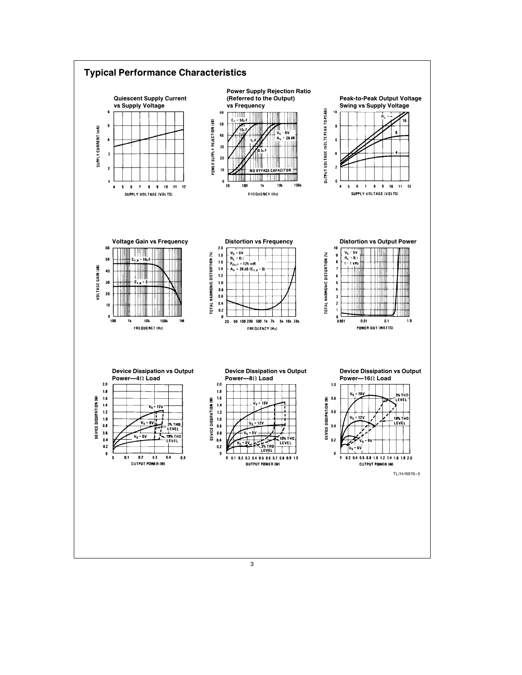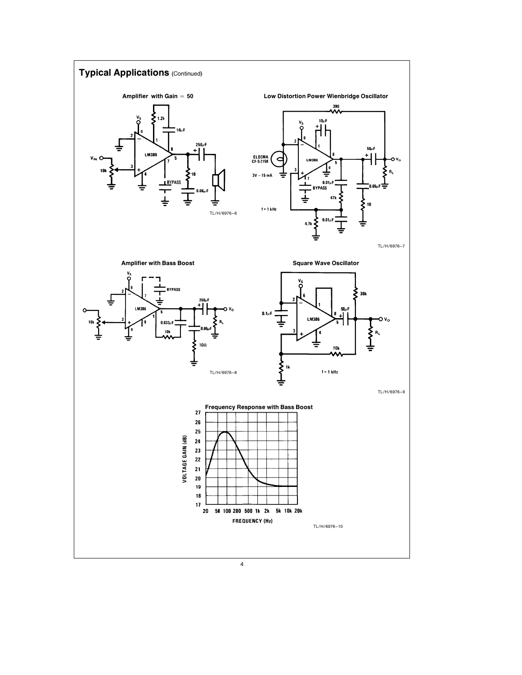

4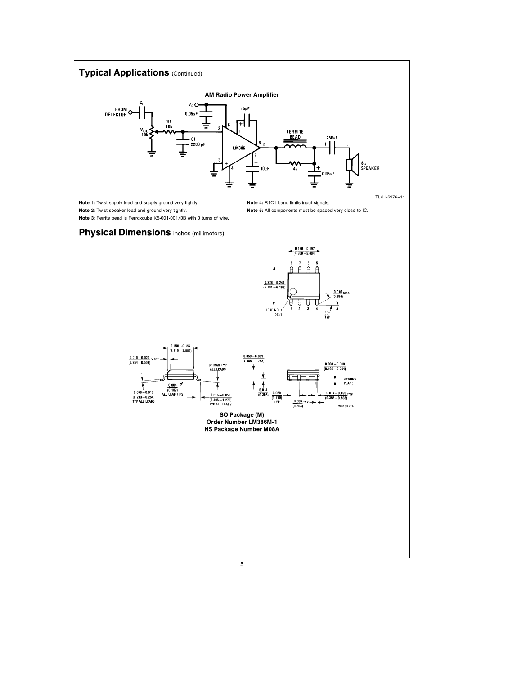